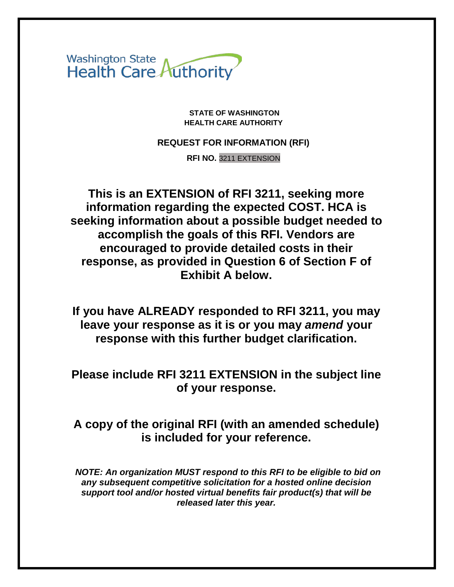Washington State<br>Health Care Authority

**STATE OF WASHINGTON HEALTH CARE AUTHORITY**

**REQUEST FOR INFORMATION (RFI)**

**RFI NO.** 3211 EXTENSION

**This is an EXTENSION of RFI 3211, seeking more information regarding the expected COST. HCA is seeking information about a possible budget needed to accomplish the goals of this RFI. Vendors are encouraged to provide detailed costs in their response, as provided in Question 6 of Section F of Exhibit A below.** 

**If you have ALREADY responded to RFI 3211, you may leave your response as it is or you may** *amend* **your response with this further budget clarification.**

**Please include RFI 3211 EXTENSION in the subject line of your response.**

# **A copy of the original RFI (with an amended schedule) is included for your reference.**

*NOTE: An organization MUST respond to this RFI to be eligible to bid on any subsequent competitive solicitation for a hosted online decision support tool and/or hosted virtual benefits fair product(s) that will be released later this year.*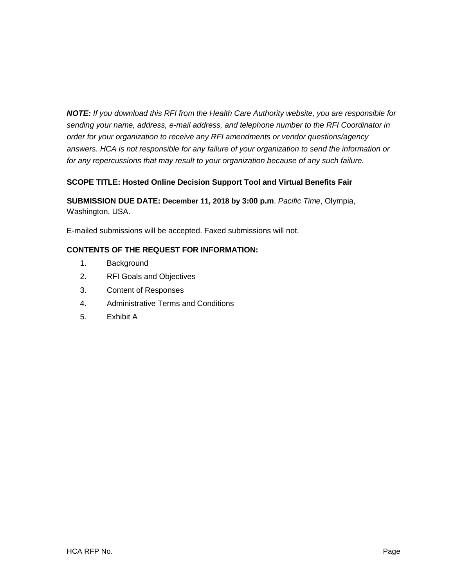*NOTE: If you download this RFI from the Health Care Authority website, you are responsible for sending your name, address, e-mail address, and telephone number to the RFI Coordinator in order for your organization to receive any RFI amendments or vendor questions/agency answers. HCA is not responsible for any failure of your organization to send the information or for any repercussions that may result to your organization because of any such failure.*

## **SCOPE TITLE: Hosted Online Decision Support Tool and Virtual Benefits Fair**

**SUBMISSION DUE DATE: December 11, 2018 by 3:00 p.m**. *Pacific Time*, Olympia, Washington, USA.

E-mailed submissions will be accepted. Faxed submissions will not.

### **CONTENTS OF THE REQUEST FOR INFORMATION:**

- 1. Background
- 2. RFI Goals and Objectives
- 3. Content of Responses
- 4. Administrative Terms and Conditions
- 5. Exhibit A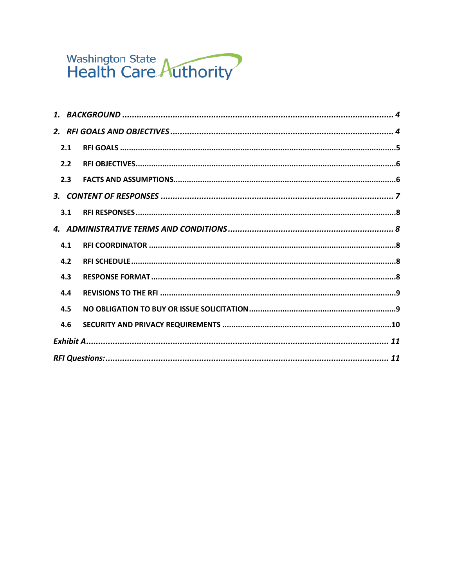# Washington State<br>Health Care Authority

| 2.1 |  |
|-----|--|
| 2.2 |  |
| 2.3 |  |
|     |  |
| 3.1 |  |
|     |  |
|     |  |
| 4.1 |  |
| 4.2 |  |
| 4.3 |  |
| 4.4 |  |
| 4.5 |  |
| 4.6 |  |
|     |  |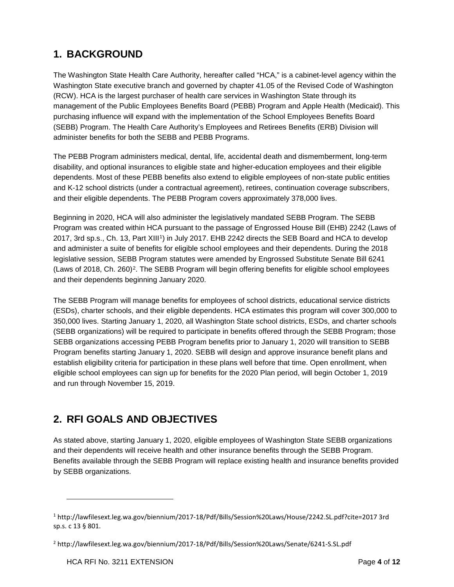# <span id="page-3-0"></span>**1. BACKGROUND**

The Washington State Health Care Authority, hereafter called "HCA," is a cabinet-level agency within the Washington State executive branch and governed by chapter 41.05 of the Revised Code of Washington (RCW). HCA is the largest purchaser of health care services in Washington State through its management of the Public Employees Benefits Board (PEBB) Program and Apple Health (Medicaid). This purchasing influence will expand with the implementation of the School Employees Benefits Board (SEBB) Program. The Health Care Authority's Employees and Retirees Benefits (ERB) Division will administer benefits for both the SEBB and PEBB Programs.

The PEBB Program administers medical, dental, life, accidental death and dismemberment, long-term disability, and optional insurances to eligible state and higher-education employees and their eligible dependents. Most of these PEBB benefits also extend to eligible employees of non-state public entities and K-12 school districts (under a contractual agreement), retirees, continuation coverage subscribers, and their eligible dependents. The PEBB Program covers approximately 378,000 lives.

Beginning in 2020, HCA will also administer the legislatively mandated SEBB Program. The SEBB Program was created within HCA pursuant to the passage of Engrossed House Bill (EHB) 2242 (Laws of 2017, 3rd sp.s., Ch. 13, Part XIII[1](#page-3-2)) in July 2017. EHB 2242 directs the SEB Board and HCA to develop and administer a suite of benefits for eligible school employees and their dependents. During the 2018 legislative session, SEBB Program statutes were amended by Engrossed Substitute Senate Bill 6241 (Laws of 2018, Ch. 260)[2.](#page-3-3) The SEBB Program will begin offering benefits for eligible school employees and their dependents beginning January 2020.

The SEBB Program will manage benefits for employees of school districts, educational service districts (ESDs), charter schools, and their eligible dependents. HCA estimates this program will cover 300,000 to 350,000 lives. Starting January 1, 2020, all Washington State school districts, ESDs, and charter schools (SEBB organizations) will be required to participate in benefits offered through the SEBB Program; those SEBB organizations accessing PEBB Program benefits prior to January 1, 2020 will transition to SEBB Program benefits starting January 1, 2020. SEBB will design and approve insurance benefit plans and establish eligibility criteria for participation in these plans well before that time. Open enrollment, when eligible school employees can sign up for benefits for the 2020 Plan period, will begin October 1, 2019 and run through November 15, 2019.

# <span id="page-3-1"></span>**2. RFI GOALS AND OBJECTIVES**

As stated above, starting January 1, 2020, eligible employees of Washington State SEBB organizations and their dependents will receive health and other insurance benefits through the SEBB Program. Benefits available through the SEBB Program will replace existing health and insurance benefits provided by SEBB organizations.

j

<span id="page-3-2"></span><sup>1</sup> http://lawfilesext.leg.wa.gov/biennium/2017-18/Pdf/Bills/Session%20Laws/House/2242.SL.pdf?cite=2017 3rd sp.s. c 13 § 801.

<span id="page-3-3"></span><sup>2</sup> http://lawfilesext.leg.wa.gov/biennium/2017-18/Pdf/Bills/Session%20Laws/Senate/6241-S.SL.pdf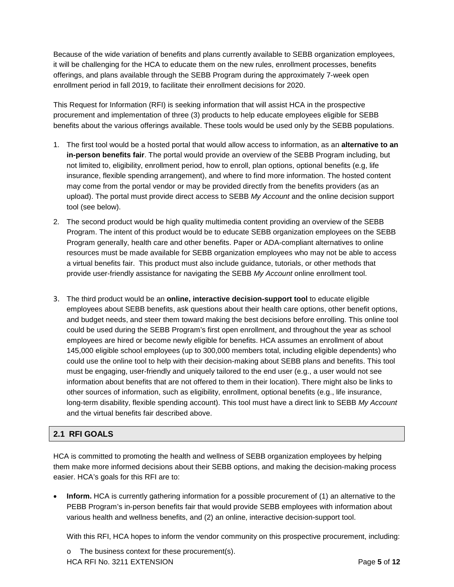Because of the wide variation of benefits and plans currently available to SEBB organization employees, it will be challenging for the HCA to educate them on the new rules, enrollment processes, benefits offerings, and plans available through the SEBB Program during the approximately 7-week open enrollment period in fall 2019, to facilitate their enrollment decisions for 2020.

This Request for Information (RFI) is seeking information that will assist HCA in the prospective procurement and implementation of three (3) products to help educate employees eligible for SEBB benefits about the various offerings available. These tools would be used only by the SEBB populations.

- 1. The first tool would be a hosted portal that would allow access to information, as an **alternative to an in-person benefits fair**. The portal would provide an overview of the SEBB Program including, but not limited to, eligibility, enrollment period, how to enroll, plan options, optional benefits (e.g, life insurance, flexible spending arrangement), and where to find more information. The hosted content may come from the portal vendor or may be provided directly from the benefits providers (as an upload). The portal must provide direct access to SEBB *My Account* and the online decision support tool (see below).
- 2. The second product would be high quality multimedia content providing an overview of the SEBB Program. The intent of this product would be to educate SEBB organization employees on the SEBB Program generally, health care and other benefits. Paper or ADA-compliant alternatives to online resources must be made available for SEBB organization employees who may not be able to access a virtual benefits fair. This product must also include guidance, tutorials, or other methods that provide user-friendly assistance for navigating the SEBB *My Account* online enrollment tool.
- 3. The third product would be an **online, interactive decision-support tool** to educate eligible employees about SEBB benefits, ask questions about their health care options, other benefit options, and budget needs, and steer them toward making the best decisions before enrolling. This online tool could be used during the SEBB Program's first open enrollment, and throughout the year as school employees are hired or become newly eligible for benefits. HCA assumes an enrollment of about 145,000 eligible school employees (up to 300,000 members total, including eligible dependents) who could use the online tool to help with their decision-making about SEBB plans and benefits. This tool must be engaging, user-friendly and uniquely tailored to the end user (e.g., a user would not see information about benefits that are not offered to them in their location). There might also be links to other sources of information, such as eligibility, enrollment, optional benefits (e.g., life insurance, long-term disability, flexible spending account). This tool must have a direct link to SEBB *My Account* and the virtual benefits fair described above.

### <span id="page-4-0"></span>**2.1 RFI GOALS**

HCA is committed to promoting the health and wellness of SEBB organization employees by helping them make more informed decisions about their SEBB options, and making the decision-making process easier. HCA's goals for this RFI are to:

**Inform.** HCA is currently gathering information for a possible procurement of (1) an alternative to the PEBB Program's in-person benefits fair that would provide SEBB employees with information about various health and wellness benefits, and (2) an online, interactive decision-support tool.

With this RFI, HCA hopes to inform the vendor community on this prospective procurement, including:

HCA RFI No. 3211 EXTENSION Page **5** of **12** o The business context for these procurement(s).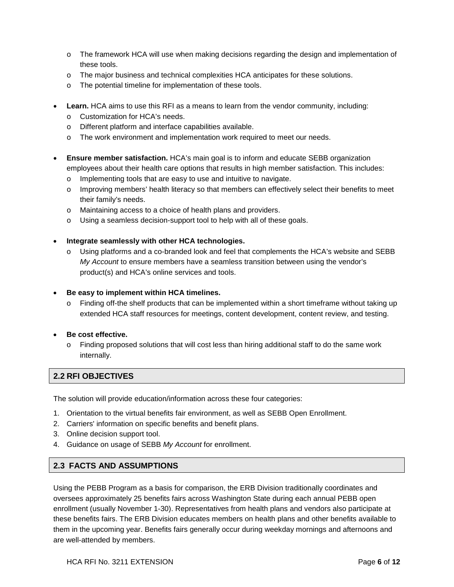- o The framework HCA will use when making decisions regarding the design and implementation of these tools.
- o The major business and technical complexities HCA anticipates for these solutions.
- o The potential timeline for implementation of these tools.
- **Learn.** HCA aims to use this RFI as a means to learn from the vendor community, including:
	- o Customization for HCA's needs.
	- o Different platform and interface capabilities available.
	- o The work environment and implementation work required to meet our needs.
- **Ensure member satisfaction.** HCA's main goal is to inform and educate SEBB organization employees about their health care options that results in high member satisfaction. This includes:
	- o Implementing tools that are easy to use and intuitive to navigate.
	- o Improving members' health literacy so that members can effectively select their benefits to meet their family's needs.
	- o Maintaining access to a choice of health plans and providers.
	- o Using a seamless decision-support tool to help with all of these goals.
- **Integrate seamlessly with other HCA technologies.**
	- o Using platforms and a co-branded look and feel that complements the HCA's website and SEBB *My Account* to ensure members have a seamless transition between using the vendor's product(s) and HCA's online services and tools.
- **Be easy to implement within HCA timelines.**
	- $\circ$  Finding off-the shelf products that can be implemented within a short timeframe without taking up extended HCA staff resources for meetings, content development, content review, and testing.
- **Be cost effective.**
	- o Finding proposed solutions that will cost less than hiring additional staff to do the same work internally.

## <span id="page-5-0"></span>**2.2 RFI OBJECTIVES**

The solution will provide education/information across these four categories:

- 1. Orientation to the virtual benefits fair environment, as well as SEBB Open Enrollment.
- 2. Carriers' information on specific benefits and benefit plans.
- 3. Online decision support tool.
- 4. Guidance on usage of SEBB *My Account* for enrollment.

### <span id="page-5-1"></span>**2.3 FACTS AND ASSUMPTIONS**

Using the PEBB Program as a basis for comparison, the ERB Division traditionally coordinates and oversees approximately 25 benefits fairs across Washington State during each annual PEBB open enrollment (usually November 1-30). Representatives from health plans and vendors also participate at these benefits fairs. The ERB Division educates members on health plans and other benefits available to them in the upcoming year. Benefits fairs generally occur during weekday mornings and afternoons and are well-attended by members.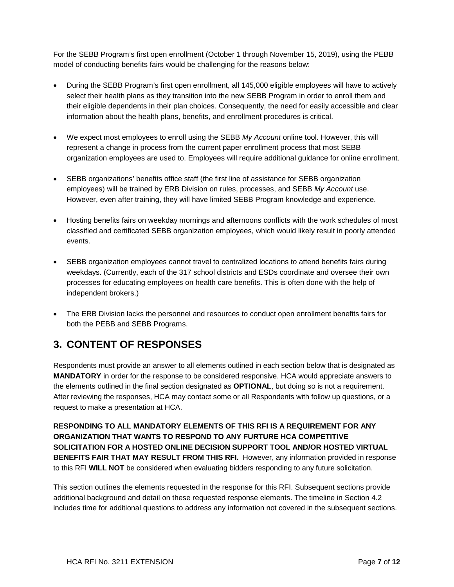For the SEBB Program's first open enrollment (October 1 through November 15, 2019), using the PEBB model of conducting benefits fairs would be challenging for the reasons below:

- During the SEBB Program's first open enrollment, all 145,000 eligible employees will have to actively select their health plans as they transition into the new SEBB Program in order to enroll them and their eligible dependents in their plan choices. Consequently, the need for easily accessible and clear information about the health plans, benefits, and enrollment procedures is critical.
- We expect most employees to enroll using the SEBB *My Account* online tool. However, this will represent a change in process from the current paper enrollment process that most SEBB organization employees are used to. Employees will require additional guidance for online enrollment.
- SEBB organizations' benefits office staff (the first line of assistance for SEBB organization employees) will be trained by ERB Division on rules, processes, and SEBB *My Account* use. However, even after training, they will have limited SEBB Program knowledge and experience.
- Hosting benefits fairs on weekday mornings and afternoons conflicts with the work schedules of most classified and certificated SEBB organization employees, which would likely result in poorly attended events.
- SEBB organization employees cannot travel to centralized locations to attend benefits fairs during weekdays. (Currently, each of the 317 school districts and ESDs coordinate and oversee their own processes for educating employees on health care benefits. This is often done with the help of independent brokers.)
- The ERB Division lacks the personnel and resources to conduct open enrollment benefits fairs for both the PEBB and SEBB Programs.

# <span id="page-6-0"></span>**3. CONTENT OF RESPONSES**

Respondents must provide an answer to all elements outlined in each section below that is designated as **MANDATORY** in order for the response to be considered responsive. HCA would appreciate answers to the elements outlined in the final section designated as **OPTIONAL**, but doing so is not a requirement. After reviewing the responses, HCA may contact some or all Respondents with follow up questions, or a request to make a presentation at HCA.

**RESPONDING TO ALL MANDATORY ELEMENTS OF THIS RFI IS A REQUIREMENT FOR ANY ORGANIZATION THAT WANTS TO RESPOND TO ANY FURTURE HCA COMPETITIVE SOLICITATION FOR A HOSTED ONLINE DECISION SUPPORT TOOL AND/OR HOSTED VIRTUAL BENEFITS FAIR THAT MAY RESULT FROM THIS RFI.** However, any information provided in response to this RFI **WILL NOT** be considered when evaluating bidders responding to any future solicitation.

This section outlines the elements requested in the response for this RFI. Subsequent sections provide additional background and detail on these requested response elements. The timeline in Section [4.2](#page-7-5) includes time for additional questions to address any information not covered in the subsequent sections.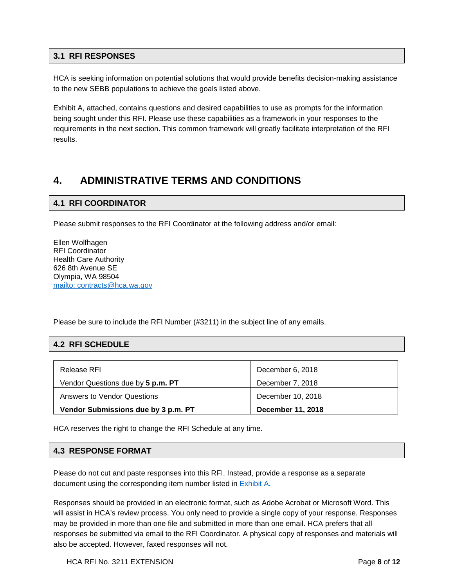### <span id="page-7-0"></span>**3.1 RFI RESPONSES**

HCA is seeking information on potential solutions that would provide benefits decision-making assistance to the new SEBB populations to achieve the goals listed above.

Exhibit A, attached, contains questions and desired capabilities to use as prompts for the information being sought under this RFI. Please use these capabilities as a framework in your responses to the requirements in the next section. This common framework will greatly facilitate interpretation of the RFI results.

# <span id="page-7-1"></span>**4. ADMINISTRATIVE TERMS AND CONDITIONS**

### <span id="page-7-2"></span>**4.1 RFI COORDINATOR**

Please submit responses to the RFI Coordinator at the following address and/or email:

Ellen Wolfhagen RFI Coordinator Health Care Authority 626 8th Avenue SE Olympia, WA 98504 mailto: [contracts@hca.wa.gov](mailto:contracts@hca.wa.gov)

Please be sure to include the RFI Number (#3211) in the subject line of any emails.

## <span id="page-7-5"></span><span id="page-7-3"></span>**4.2 RFI SCHEDULE**

| Release RFI                         | December 6, 2018         |
|-------------------------------------|--------------------------|
| Vendor Questions due by 5 p.m. PT   | December 7, 2018         |
| Answers to Vendor Questions         | December 10, 2018        |
| Vendor Submissions due by 3 p.m. PT | <b>December 11, 2018</b> |

HCA reserves the right to change the RFI Schedule at any time.

### <span id="page-7-4"></span>**4.3 RESPONSE FORMAT**

Please do not cut and paste responses into this RFI. Instead, provide a response as a separate document using the corresponding item number listed in [Exhibit A.](#page-10-0)

Responses should be provided in an electronic format, such as Adobe Acrobat or Microsoft Word. This will assist in HCA's review process. You only need to provide a single copy of your response. Responses may be provided in more than one file and submitted in more than one email. HCA prefers that all responses be submitted via email to the RFI Coordinator. A physical copy of responses and materials will also be accepted. However, faxed responses will not.

HCA RFI No. 3211 EXTENSION **Page 8** of 12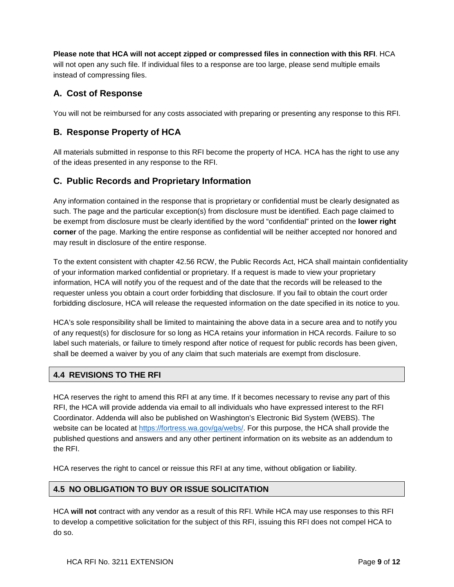**Please note that HCA will not accept zipped or compressed files in connection with this RFI**. HCA will not open any such file. If individual files to a response are too large, please send multiple emails instead of compressing files.

# **A. Cost of Response**

You will not be reimbursed for any costs associated with preparing or presenting any response to this RFI.

## **B. Response Property of HCA**

All materials submitted in response to this RFI become the property of HCA. HCA has the right to use any of the ideas presented in any response to the RFI.

## **C. Public Records and Proprietary Information**

Any information contained in the response that is proprietary or confidential must be clearly designated as such. The page and the particular exception(s) from disclosure must be identified. Each page claimed to be exempt from disclosure must be clearly identified by the word "confidential" printed on the **lower right corner** of the page. Marking the entire response as confidential will be neither accepted nor honored and may result in disclosure of the entire response.

To the extent consistent with chapter 42.56 RCW, the Public Records Act, HCA shall maintain confidentiality of your information marked confidential or proprietary. If a request is made to view your proprietary information, HCA will notify you of the request and of the date that the records will be released to the requester unless you obtain a court order forbidding that disclosure. If you fail to obtain the court order forbidding disclosure, HCA will release the requested information on the date specified in its notice to you.

HCA's sole responsibility shall be limited to maintaining the above data in a secure area and to notify you of any request(s) for disclosure for so long as HCA retains your information in HCA records. Failure to so label such materials, or failure to timely respond after notice of request for public records has been given, shall be deemed a waiver by you of any claim that such materials are exempt from disclosure.

## <span id="page-8-0"></span>**4.4 REVISIONS TO THE RFI**

HCA reserves the right to amend this RFI at any time. If it becomes necessary to revise any part of this RFI, the HCA will provide addenda via email to all individuals who have expressed interest to the RFI Coordinator. Addenda will also be published on Washington's Electronic Bid System (WEBS). The website can be located at [https://fortress.wa.gov/ga/webs/.](https://fortress.wa.gov/ga/webs/) For this purpose, the HCA shall provide the published questions and answers and any other pertinent information on its website as an addendum to the RFI.

HCA reserves the right to cancel or reissue this RFI at any time, without obligation or liability.

### <span id="page-8-1"></span>**4.5 NO OBLIGATION TO BUY OR ISSUE SOLICITATION**

HCA **will not** contract with any vendor as a result of this RFI. While HCA may use responses to this RFI to develop a competitive solicitation for the subject of this RFI, issuing this RFI does not compel HCA to do so.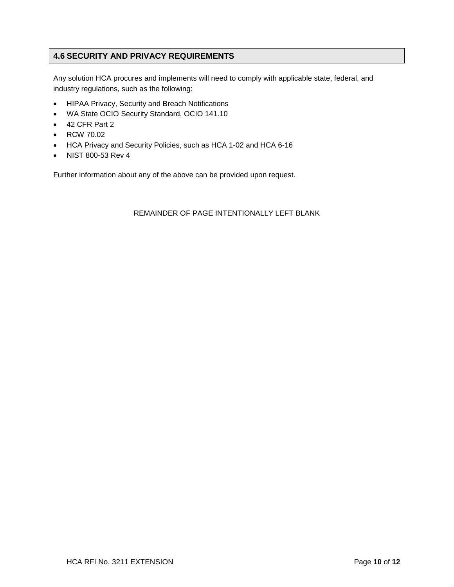## <span id="page-9-0"></span>**4.6 SECURITY AND PRIVACY REQUIREMENTS**

Any solution HCA procures and implements will need to comply with applicable state, federal, and industry regulations, such as the following:

- HIPAA Privacy, Security and Breach Notifications
- WA State OCIO Security Standard, OCIO 141.10
- 42 CFR Part 2
- RCW 70.02
- HCA Privacy and Security Policies, such as HCA 1-02 and HCA 6-16
- NIST 800-53 Rev 4

Further information about any of the above can be provided upon request.

#### REMAINDER OF PAGE INTENTIONALLY LEFT BLANK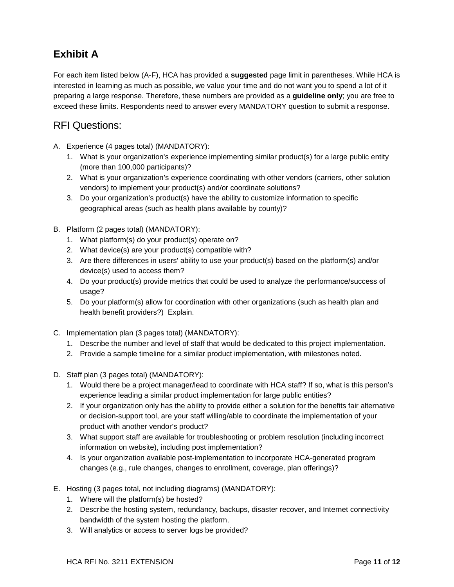# <span id="page-10-0"></span>**Exhibit A**

For each item listed below (A-F), HCA has provided a **suggested** page limit in parentheses. While HCA is interested in learning as much as possible, we value your time and do not want you to spend a lot of it preparing a large response. Therefore, these numbers are provided as a **guideline only**; you are free to exceed these limits. Respondents need to answer every MANDATORY question to submit a response.

# <span id="page-10-1"></span>RFI Questions:

- A. Experience (4 pages total) (MANDATORY):
	- 1. What is your organization's experience implementing similar product(s) for a large public entity (more than 100,000 participants)?
	- 2. What is your organization's experience coordinating with other vendors (carriers, other solution vendors) to implement your product(s) and/or coordinate solutions?
	- 3. Do your organization's product(s) have the ability to customize information to specific geographical areas (such as health plans available by county)?
- B. Platform (2 pages total) (MANDATORY):
	- 1. What platform(s) do your product(s) operate on?
	- 2. What device(s) are your product(s) compatible with?
	- 3. Are there differences in users' ability to use your product(s) based on the platform(s) and/or device(s) used to access them?
	- 4. Do your product(s) provide metrics that could be used to analyze the performance/success of usage?
	- 5. Do your platform(s) allow for coordination with other organizations (such as health plan and health benefit providers?) Explain.
- C. Implementation plan (3 pages total) (MANDATORY):
	- 1. Describe the number and level of staff that would be dedicated to this project implementation.
	- 2. Provide a sample timeline for a similar product implementation, with milestones noted.
- D. Staff plan (3 pages total) (MANDATORY):
	- 1. Would there be a project manager/lead to coordinate with HCA staff? If so, what is this person's experience leading a similar product implementation for large public entities?
	- 2. If your organization only has the ability to provide either a solution for the benefits fair alternative or decision-support tool, are your staff willing/able to coordinate the implementation of your product with another vendor's product?
	- 3. What support staff are available for troubleshooting or problem resolution (including incorrect information on website), including post implementation?
	- 4. Is your organization available post-implementation to incorporate HCA-generated program changes (e.g., rule changes, changes to enrollment, coverage, plan offerings)?
- E. Hosting (3 pages total, not including diagrams) (MANDATORY):
	- 1. Where will the platform(s) be hosted?
	- 2. Describe the hosting system, redundancy, backups, disaster recover, and Internet connectivity bandwidth of the system hosting the platform.
	- 3. Will analytics or access to server logs be provided?